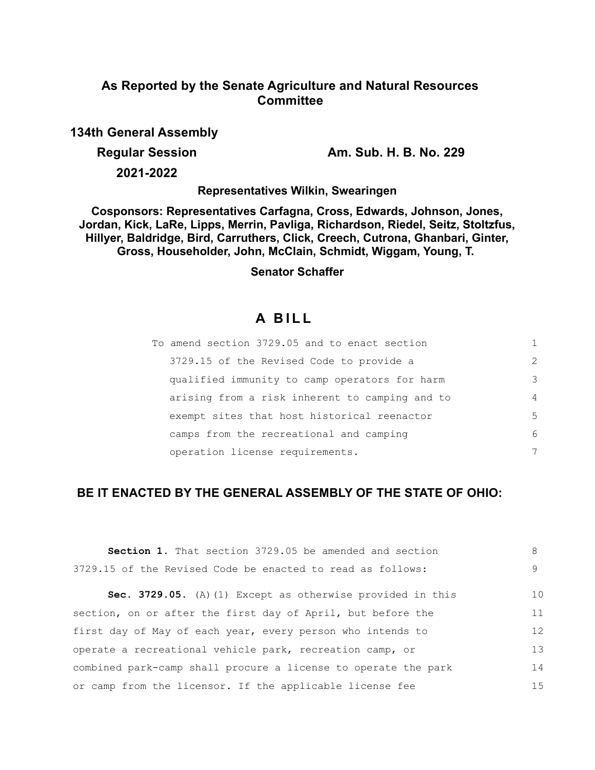# **As Reported by the Senate Agriculture and Natural Resources Committee**

**134th General Assembly**

**Regular Session Am. Sub. H. B. No. 229**

**2021-2022**

**Representatives Wilkin, Swearingen**

**Cosponsors: Representatives Carfagna, Cross, Edwards, Johnson, Jones, Jordan, Kick, LaRe, Lipps, Merrin, Pavliga, Richardson, Riedel, Seitz, Stoltzfus, Hillyer, Baldridge, Bird, Carruthers, Click, Creech, Cutrona, Ghanbari, Ginter, Gross, Householder, John, McClain, Schmidt, Wiggam, Young, T.** 

## **Senator Schaffer**

# **A B I L L**

| To amend section 3729.05 and to enact section  |                |
|------------------------------------------------|----------------|
| 3729.15 of the Revised Code to provide a       | $\mathcal{L}$  |
| qualified immunity to camp operators for harm  | 3              |
| arising from a risk inherent to camping and to | $\overline{4}$ |
| exempt sites that host historical reenactor    | 5              |
| camps from the recreational and camping        | 6              |
| operation license requirements.                | 7              |

# **BE IT ENACTED BY THE GENERAL ASSEMBLY OF THE STATE OF OHIO:**

| <b>Section 1.</b> That section 3729.05 be amended and section  | 8  |
|----------------------------------------------------------------|----|
| 3729.15 of the Revised Code be enacted to read as follows:     | 9  |
| Sec. 3729.05. (A) (1) Except as otherwise provided in this     | 10 |
| section, on or after the first day of April, but before the    | 11 |
| first day of May of each year, every person who intends to     | 12 |
| operate a recreational vehicle park, recreation camp, or       | 13 |
| combined park-camp shall procure a license to operate the park | 14 |
| or camp from the licensor. If the applicable license fee       | 15 |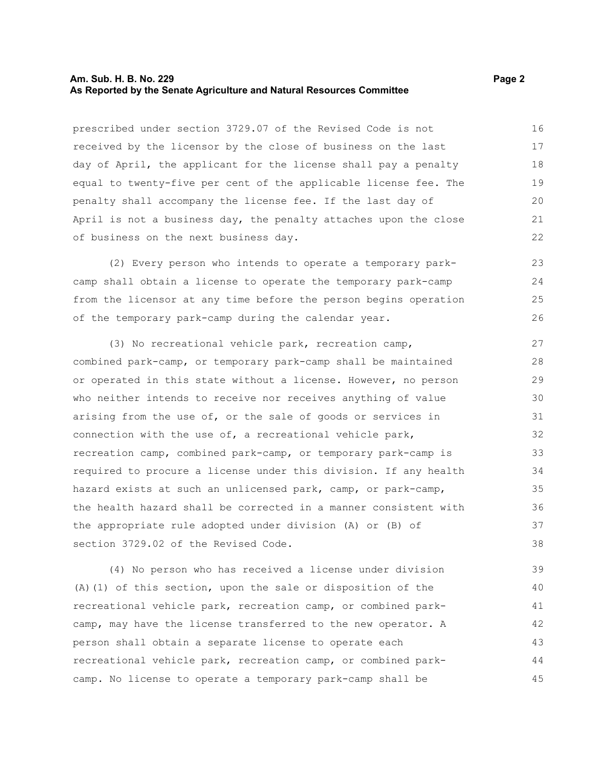#### **Am. Sub. H. B. No. 229 Page 2 Page 2 As Reported by the Senate Agriculture and Natural Resources Committee**

prescribed under section 3729.07 of the Revised Code is not received by the licensor by the close of business on the last day of April, the applicant for the license shall pay a penalty equal to twenty-five per cent of the applicable license fee. The penalty shall accompany the license fee. If the last day of April is not a business day, the penalty attaches upon the close of business on the next business day.

(2) Every person who intends to operate a temporary parkcamp shall obtain a license to operate the temporary park-camp from the licensor at any time before the person begins operation of the temporary park-camp during the calendar year. 23  $24$ 25 26

(3) No recreational vehicle park, recreation camp, combined park-camp, or temporary park-camp shall be maintained or operated in this state without a license. However, no person who neither intends to receive nor receives anything of value arising from the use of, or the sale of goods or services in connection with the use of, a recreational vehicle park, recreation camp, combined park-camp, or temporary park-camp is required to procure a license under this division. If any health hazard exists at such an unlicensed park, camp, or park-camp, the health hazard shall be corrected in a manner consistent with the appropriate rule adopted under division (A) or (B) of section 3729.02 of the Revised Code. 27 28 29 30 31 32 33 34 35 36 37 38

(4) No person who has received a license under division (A)(1) of this section, upon the sale or disposition of the recreational vehicle park, recreation camp, or combined parkcamp, may have the license transferred to the new operator. A person shall obtain a separate license to operate each recreational vehicle park, recreation camp, or combined parkcamp. No license to operate a temporary park-camp shall be 39 40 41 42 43 44 45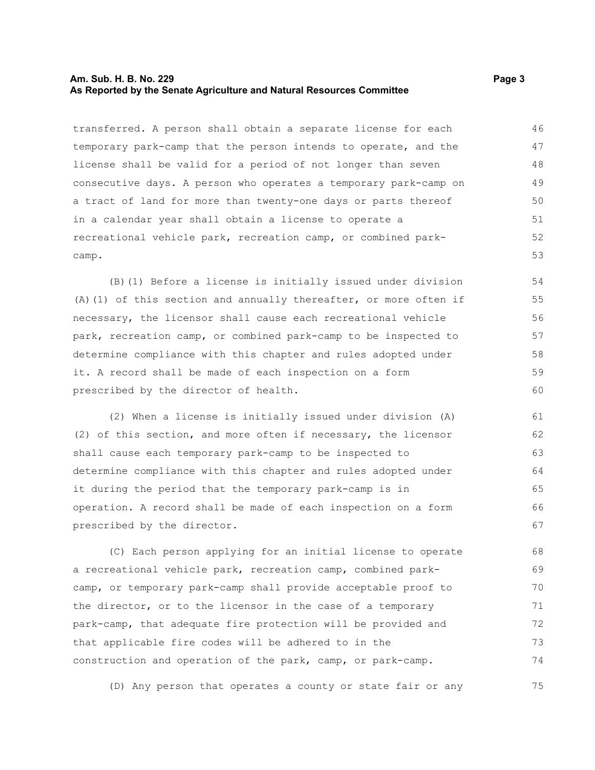#### **Am. Sub. H. B. No. 229 Page 3 As Reported by the Senate Agriculture and Natural Resources Committee**

transferred. A person shall obtain a separate license for each temporary park-camp that the person intends to operate, and the license shall be valid for a period of not longer than seven consecutive days. A person who operates a temporary park-camp on a tract of land for more than twenty-one days or parts thereof in a calendar year shall obtain a license to operate a recreational vehicle park, recreation camp, or combined parkcamp. 46 47 48 49 50 51 52 53

(B)(1) Before a license is initially issued under division (A)(1) of this section and annually thereafter, or more often if necessary, the licensor shall cause each recreational vehicle park, recreation camp, or combined park-camp to be inspected to determine compliance with this chapter and rules adopted under it. A record shall be made of each inspection on a form prescribed by the director of health.

(2) When a license is initially issued under division (A) (2) of this section, and more often if necessary, the licensor shall cause each temporary park-camp to be inspected to determine compliance with this chapter and rules adopted under it during the period that the temporary park-camp is in operation. A record shall be made of each inspection on a form prescribed by the director. 61 62 63 64 65 66 67

(C) Each person applying for an initial license to operate a recreational vehicle park, recreation camp, combined parkcamp, or temporary park-camp shall provide acceptable proof to the director, or to the licensor in the case of a temporary park-camp, that adequate fire protection will be provided and that applicable fire codes will be adhered to in the construction and operation of the park, camp, or park-camp. 68 69 70 71 72 73 74

(D) Any person that operates a county or state fair or any 75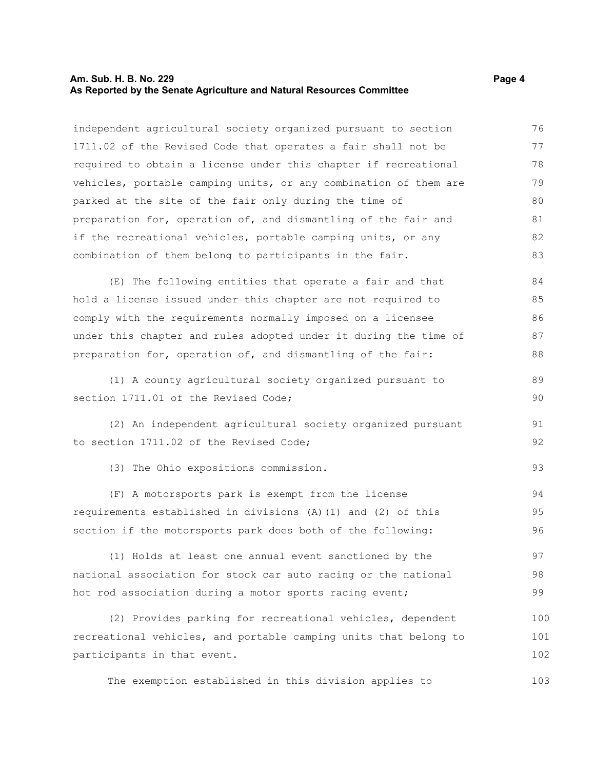#### **Am. Sub. H. B. No. 229 Page 4 As Reported by the Senate Agriculture and Natural Resources Committee**

independent agricultural society organized pursuant to section 1711.02 of the Revised Code that operates a fair shall not be required to obtain a license under this chapter if recreational vehicles, portable camping units, or any combination of them are parked at the site of the fair only during the time of preparation for, operation of, and dismantling of the fair and if the recreational vehicles, portable camping units, or any combination of them belong to participants in the fair. 76 77 78 79 80 81 82 83

(E) The following entities that operate a fair and that hold a license issued under this chapter are not required to comply with the requirements normally imposed on a licensee under this chapter and rules adopted under it during the time of preparation for, operation of, and dismantling of the fair: 84 85 86 87 88

(1) A county agricultural society organized pursuant to section 1711.01 of the Revised Code: 89 90

(2) An independent agricultural society organized pursuant to section 1711.02 of the Revised Code;

(3) The Ohio expositions commission.

(F) A motorsports park is exempt from the license requirements established in divisions (A)(1) and (2) of this section if the motorsports park does both of the following: 94 95 96

(1) Holds at least one annual event sanctioned by the national association for stock car auto racing or the national hot rod association during a motor sports racing event; 97 98 99

(2) Provides parking for recreational vehicles, dependent recreational vehicles, and portable camping units that belong to participants in that event. 100 101 102

The exemption established in this division applies to

91 92

93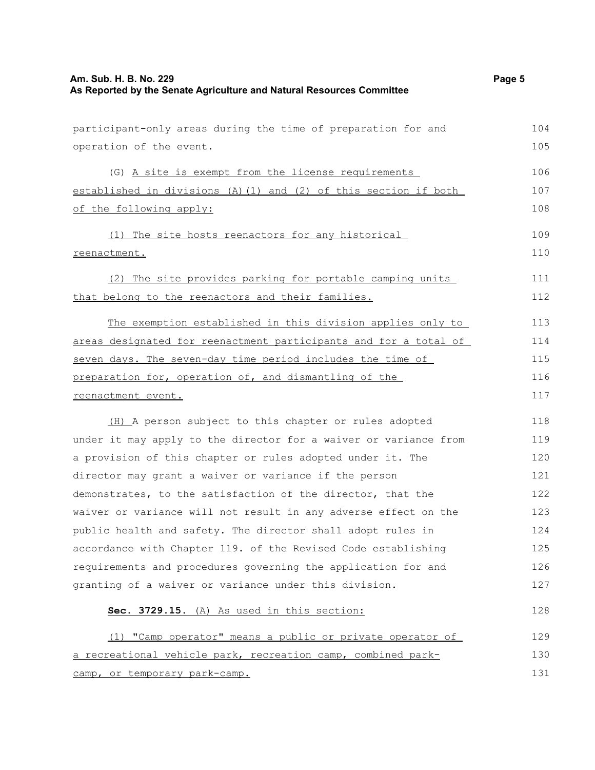participant-only areas during the time of preparation for and

operation of the event. (G) A site is exempt from the license requirements established in divisions (A)(1) and (2) of this section if both of the following apply: (1) The site hosts reenactors for any historical reenactment. (2) The site provides parking for portable camping units that belong to the reenactors and their families. The exemption established in this division applies only to areas designated for reenactment participants and for a total of seven days. The seven-day time period includes the time of preparation for, operation of, and dismantling of the reenactment event. (H) A person subject to this chapter or rules adopted under it may apply to the director for a waiver or variance from a provision of this chapter or rules adopted under it. The director may grant a waiver or variance if the person demonstrates, to the satisfaction of the director, that the waiver or variance will not result in any adverse effect on the public health and safety. The director shall adopt rules in accordance with Chapter 119. of the Revised Code establishing requirements and procedures governing the application for and granting of a waiver or variance under this division. **Sec. 3729.15.** (A) As used in this section: (1) "Camp operator" means a public or private operator of a recreational vehicle park, recreation camp, combined parkcamp, or temporary park-camp. 105 106 107 108 109 110 111 112 113 114 115 116 117 118 119 120 121 122 123 124 125 126 127 128 129 130 131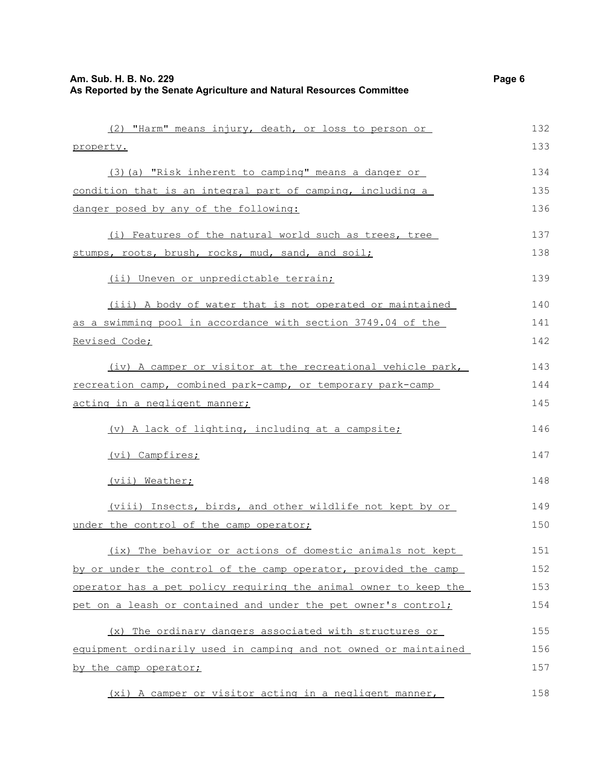| (2) "Harm" means injury, death, or loss to person or                 | 132 |
|----------------------------------------------------------------------|-----|
| property.                                                            | 133 |
| (3) (a) "Risk inherent to camping" means a danger or                 | 134 |
| condition that is an integral part of camping, including a           | 135 |
| danger posed by any of the following:                                | 136 |
| (i) Features of the natural world such as trees, tree                | 137 |
| stumps, roots, brush, rocks, mud, sand, and soil;                    | 138 |
| (ii) Uneven or unpredictable terrain;                                | 139 |
| (iii) A body of water that is not operated or maintained             | 140 |
| <u>as a swimming pool in accordance with section 3749.04 of the </u> | 141 |
| <u>Revised Code;</u>                                                 | 142 |
| (iv) A camper or visitor at the recreational vehicle park,           | 143 |
| recreation camp, combined park-camp, or temporary park-camp          | 144 |
| <u>acting in a negligent manner;</u>                                 | 145 |
| (v) A lack of lighting, including at a campsite;                     | 146 |
| (vi) Campfires;                                                      | 147 |
| (vii) Weather;                                                       | 148 |
| (viii) Insects, birds, and other wildlife not kept by or             | 149 |
| under the control of the camp operator;                              | 150 |
| (ix) The behavior or actions of domestic animals not kept            | 151 |
| by or under the control of the camp operator, provided the camp      | 152 |
| operator has a pet policy requiring the animal owner to keep the     | 153 |
| pet on a leash or contained and under the pet owner's control;       | 154 |
| The ordinary dangers associated with structures or<br>(x)            | 155 |
| equipment ordinarily used in camping and not owned or maintained     | 156 |
| by the camp operator;                                                | 157 |
| (xi) A camper or visitor acting in a negligent manner,               | 158 |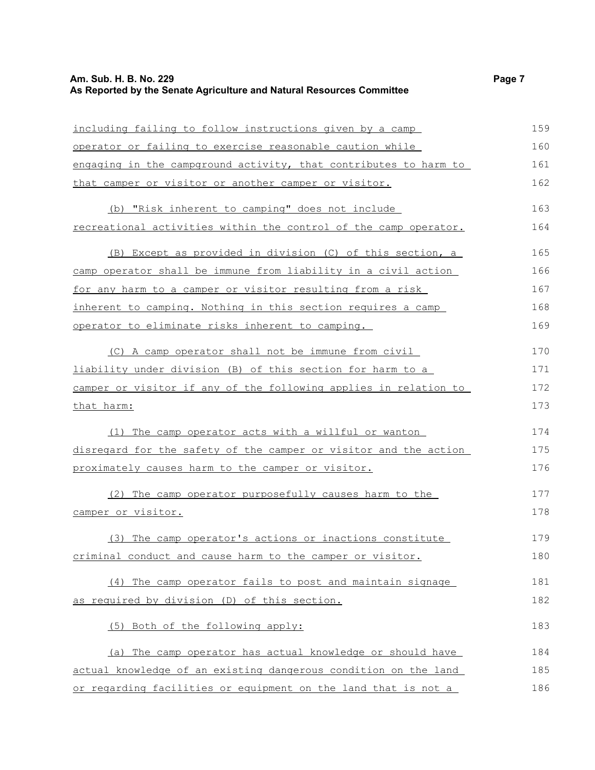### **Am. Sub. H. B. No. 229 Page 7 As Reported by the Senate Agriculture and Natural Resources Committee**

| including failing to follow instructions given by a camp         | 159 |
|------------------------------------------------------------------|-----|
| operator or failing to exercise reasonable caution while         | 160 |
| engaging in the campground activity, that contributes to harm to | 161 |
| that camper or visitor or another camper or visitor.             | 162 |
| (b) "Risk inherent to camping" does not include                  | 163 |
| recreational activities within the control of the camp operator. | 164 |
| (B) Except as provided in division (C) of this section, a        | 165 |
| camp operator shall be immune from liability in a civil action   | 166 |
| for any harm to a camper or visitor resulting from a risk        | 167 |
| inherent to camping. Nothing in this section requires a camp     | 168 |
| operator to eliminate risks inherent to camping.                 | 169 |
| (C) A camp operator shall not be immune from civil               | 170 |
| liability under division (B) of this section for harm to a       | 171 |
| camper or visitor if any of the following applies in relation to | 172 |
| that harm:                                                       | 173 |
| (1) The camp operator acts with a willful or wanton              | 174 |
| disregard for the safety of the camper or visitor and the action | 175 |
| proximately causes harm to the camper or visitor.                | 176 |
| (2) The camp operator purposefully causes harm to the            | 177 |
| camper or visitor.                                               | 178 |
| (3) The camp operator's actions or inactions constitute          | 179 |
| criminal conduct and cause harm to the camper or visitor.        | 180 |
| (4) The camp operator fails to post and maintain signage         | 181 |
| as required by division (D) of this section.                     | 182 |
| (5) Both of the following apply:                                 | 183 |
| (a) The camp operator has actual knowledge or should have        | 184 |
| actual knowledge of an existing dangerous condition on the land  | 185 |
| or regarding facilities or equipment on the land that is not a   | 186 |